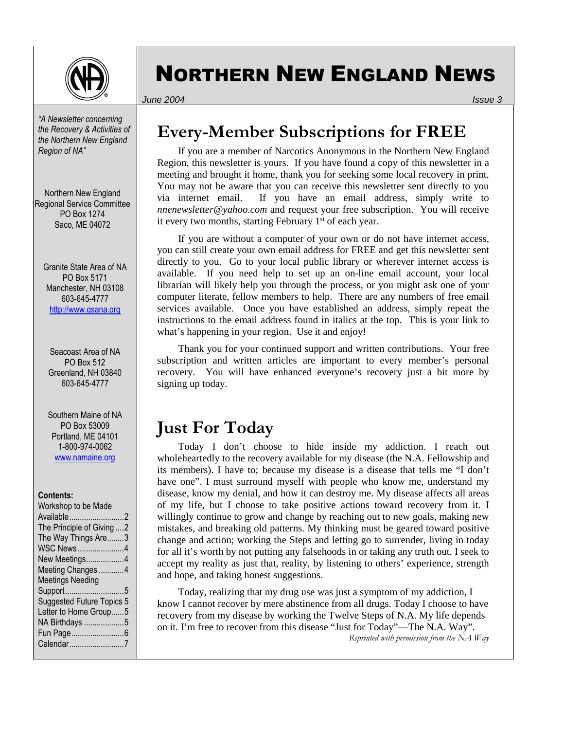

# NORTHERN NEW ENGLAND NEWS

*June 2004 Issue 3*

*"A Newsletter concerning the Recovery & Activities of the Northern New England Region of NA"* 

Northern New England Regional Service Committee PO Box 1274 Saco, ME 04072

Granite State Area of NA PO Box 5171 Manchester, NH 03108 603-645-4777 http://www.gsana.org

Seacoast Area of NA PO Box 512 Greenland, NH 03840 603-645-4777

Southern Maine of NA PO Box 53009 Portland, ME 04101 1-800-974-0062 www.namaine.org

#### **Contents:**

| Workshop to be Made       |
|---------------------------|
| Available2                |
| The Principle of Giving 2 |
| The Way Things Are3       |
| <b>WSC News4</b>          |
| New Meetings4             |
| Meeting Changes4          |
| <b>Meetings Needing</b>   |
| Support5                  |
| Suggested Future Topics 5 |
| Letter to Home Group5     |
| NA Birthdays 5            |
| Fun Page6                 |
| Calendar7                 |
|                           |

## **Every-Member Subscriptions for FREE**

If you are a member of Narcotics Anonymous in the Northern New England Region, this newsletter is yours. If you have found a copy of this newsletter in a meeting and brought it home, thank you for seeking some local recovery in print. You may not be aware that you can receive this newsletter sent directly to you via internet email. If you have an email address, simply write to *nnenewsletter@yahoo.com* and request your free subscription. You will receive it every two months, starting February  $1<sup>st</sup>$  of each year.

If you are without a computer of your own or do not have internet access, you can still create your own email address for FREE and get this newsletter sent directly to you. Go to your local public library or wherever internet access is available. If you need help to set up an on-line email account, your local librarian will likely help you through the process, or you might ask one of your computer literate, fellow members to help. There are any numbers of free email services available. Once you have established an address, simply repeat the instructions to the email address found in italics at the top. This is your link to what's happening in your region. Use it and enjoy!

Thank you for your continued support and written contributions. Your free subscription and written articles are important to every member's personal recovery. You will have enhanced everyone's recovery just a bit more by signing up today.

### **Just For Today**

Today I don't choose to hide inside my addiction. I reach out wholeheartedly to the recovery available for my disease (the N.A. Fellowship and its members). I have to; because my disease is a disease that tells me "I don't have one". I must surround myself with people who know me, understand my disease, know my denial, and how it can destroy me. My disease affects all areas of my life, but I choose to take positive actions toward recovery from it. I willingly continue to grow and change by reaching out to new goals, making new mistakes, and breaking old patterns. My thinking must be geared toward positive change and action; working the Steps and letting go to surrender, living in today for all it's worth by not putting any falsehoods in or taking any truth out. I seek to accept my reality as just that, reality, by listening to others' experience, strength and hope, and taking honest suggestions.

Today, realizing that my drug use was just a symptom of my addiction, I know I cannot recover by mere abstinence from all drugs. Today I choose to have recovery from my disease by working the Twelve Steps of N.A. My life depends on it. I'm free to recover from this disease "Just for Today"—The N.A. Way". *Reprinted with permission from the NA Way*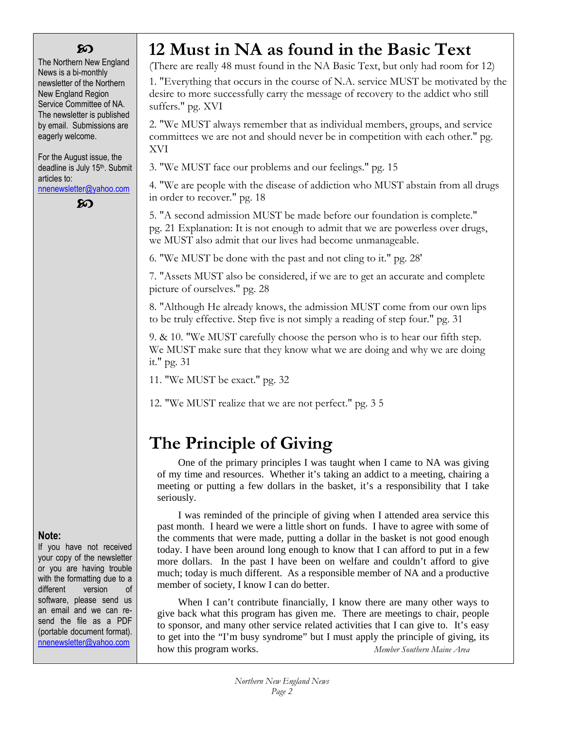### ဢ

The Northern New England News is a bi-monthly newsletter of the Northern New England Region Service Committee of NA. The newsletter is published by email. Submissions are eagerly welcome.

For the August issue, the deadline is July 15<sup>th</sup>. Submit articles to:

nnenewsletter@yahoo.com

ၹ

## **12 Must in NA as found in the Basic Text**

(There are really 48 must found in the NA Basic Text, but only had room for 12)

1. "Everything that occurs in the course of N.A. service MUST be motivated by the desire to more successfully carry the message of recovery to the addict who still suffers." pg. XVI

2. "We MUST always remember that as individual members, groups, and service committees we are not and should never be in competition with each other." pg. XVI

3. "We MUST face our problems and our feelings." pg. 15

4. "We are people with the disease of addiction who MUST abstain from all drugs in order to recover." pg. 18

5. "A second admission MUST be made before our foundation is complete." pg. 21 Explanation: It is not enough to admit that we are powerless over drugs, we MUST also admit that our lives had become unmanageable.

6. "We MUST be done with the past and not cling to it." pg. 28'

7. "Assets MUST also be considered, if we are to get an accurate and complete picture of ourselves." pg. 28

8. "Although He already knows, the admission MUST come from our own lips to be truly effective. Step five is not simply a reading of step four." pg. 31

9. & 10. "We MUST carefully choose the person who is to hear our fifth step. We MUST make sure that they know what we are doing and why we are doing it." pg. 31

11. "We MUST be exact." pg. 32

12. "We MUST realize that we are not perfect." pg. 3 5

## **The Principle of Giving**

One of the primary principles I was taught when I came to NA was giving of my time and resources. Whether it's taking an addict to a meeting, chairing a meeting or putting a few dollars in the basket, it's a responsibility that I take seriously.

I was reminded of the principle of giving when I attended area service this past month. I heard we were a little short on funds. I have to agree with some of the comments that were made, putting a dollar in the basket is not good enough today. I have been around long enough to know that I can afford to put in a few more dollars. In the past I have been on welfare and couldn't afford to give much; today is much different. As a responsible member of NA and a productive member of society, I know I can do better.

When I can't contribute financially, I know there are many other ways to give back what this program has given me. There are meetings to chair, people to sponsor, and many other service related activities that I can give to. It's easy to get into the "I'm busy syndrome" but I must apply the principle of giving, its how this program works. *Member Southern Maine Area*

### **Note:**

If you have not received your copy of the newsletter or you are having trouble with the formatting due to a different version of software, please send us an email and we can resend the file as a PDF (portable document format). nnenewsletter@yahoo.com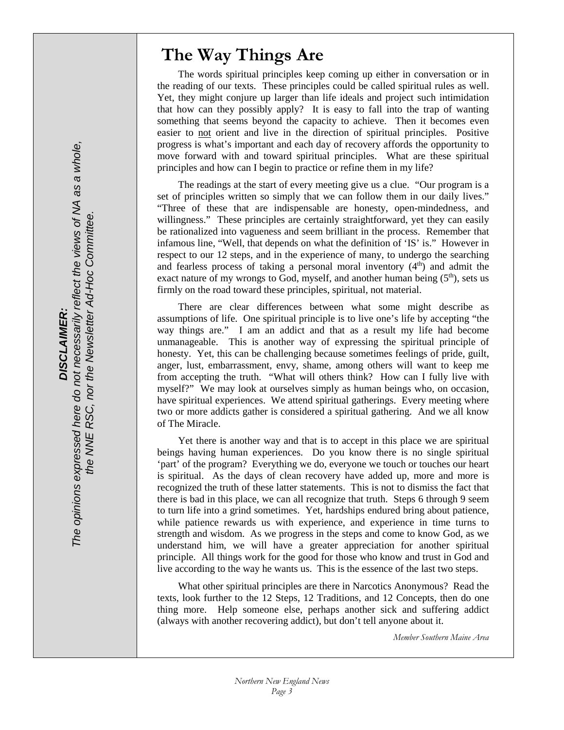### **The Way Things Are**

The words spiritual principles keep coming up either in conversation or in the reading of our texts. These principles could be called spiritual rules as well. Yet, they might conjure up larger than life ideals and project such intimidation that how can they possibly apply? It is easy to fall into the trap of wanting something that seems beyond the capacity to achieve. Then it becomes even easier to not orient and live in the direction of spiritual principles. Positive progress is what's important and each day of recovery affords the opportunity to move forward with and toward spiritual principles. What are these spiritual principles and how can I begin to practice or refine them in my life?

The readings at the start of every meeting give us a clue. "Our program is a set of principles written so simply that we can follow them in our daily lives." "Three of these that are indispensable are honesty, open-mindedness, and willingness." These principles are certainly straightforward, yet they can easily be rationalized into vagueness and seem brilliant in the process. Remember that infamous line, "Well, that depends on what the definition of 'IS' is." However in respect to our 12 steps, and in the experience of many, to undergo the searching and fearless process of taking a personal moral inventory  $(4<sup>th</sup>)$  and admit the exact nature of my wrongs to God, myself, and another human being  $(5<sup>th</sup>)$ , sets us firmly on the road toward these principles, spiritual, not material.

There are clear differences between what some might describe as assumptions of life. One spiritual principle is to live one's life by accepting "the way things are." I am an addict and that as a result my life had become unmanageable. This is another way of expressing the spiritual principle of honesty. Yet, this can be challenging because sometimes feelings of pride, guilt, anger, lust, embarrassment, envy, shame, among others will want to keep me from accepting the truth. "What will others think? How can I fully live with myself?" We may look at ourselves simply as human beings who, on occasion, have spiritual experiences. We attend spiritual gatherings. Every meeting where two or more addicts gather is considered a spiritual gathering. And we all know of The Miracle.

Yet there is another way and that is to accept in this place we are spiritual beings having human experiences. Do you know there is no single spiritual 'part' of the program? Everything we do, everyone we touch or touches our heart is spiritual. As the days of clean recovery have added up, more and more is recognized the truth of these latter statements. This is not to dismiss the fact that there is bad in this place, we can all recognize that truth. Steps 6 through 9 seem to turn life into a grind sometimes. Yet, hardships endured bring about patience, while patience rewards us with experience, and experience in time turns to strength and wisdom. As we progress in the steps and come to know God, as we understand him, we will have a greater appreciation for another spiritual principle. All things work for the good for those who know and trust in God and live according to the way he wants us. This is the essence of the last two steps.

What other spiritual principles are there in Narcotics Anonymous? Read the texts, look further to the 12 Steps, 12 Traditions, and 12 Concepts, then do one thing more. Help someone else, perhaps another sick and suffering addict (always with another recovering addict), but don't tell anyone about it.

*Member Southern Maine Area* 

*ole,*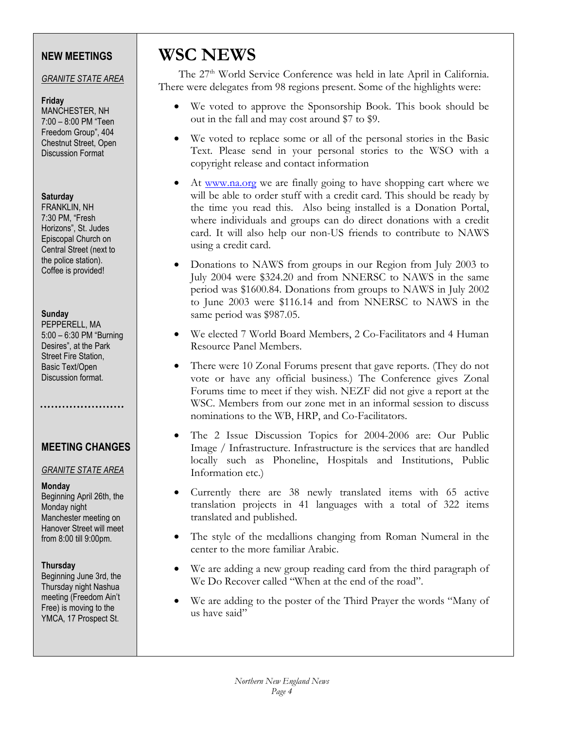### **NEW MEETINGS**

### *GRANITE STATE AREA*

#### **Friday**

MANCHESTER, NH 7:00 – 8:00 PM "Teen Freedom Group", 404 Chestnut Street, Open Discussion Format

### **Saturday**

FRANKLIN, NH 7:30 PM, "Fresh Horizons", St. Judes Episcopal Church on Central Street (next to the police station). Coffee is provided!

#### **Sunday**

PEPPERELL, MA 5:00 – 6:30 PM "Burning Desires", at the Park Street Fire Station, Basic Text/Open Discussion format.

### . . . . . . . . . . . . . . . . . . . .

### **MEETING CHANGES**

### *GRANITE STATE AREA*

### **Monday**

Beginning April 26th, the Monday night Manchester meeting on Hanover Street will meet from 8:00 till 9:00pm.

### **Thursday**

Beginning June 3rd, the Thursday night Nashua meeting (Freedom Ain't Free) is moving to the YMCA, 17 Prospect St.

### **WSC NEWS**

The 27<sup>th</sup> World Service Conference was held in late April in California. There were delegates from 98 regions present. Some of the highlights were:

- We voted to approve the Sponsorship Book. This book should be out in the fall and may cost around \$7 to \$9.
- We voted to replace some or all of the personal stories in the Basic Text. Please send in your personal stories to the WSO with a copyright release and contact information
- At www.na.org we are finally going to have shopping cart where we will be able to order stuff with a credit card. This should be ready by the time you read this. Also being installed is a Donation Portal, where individuals and groups can do direct donations with a credit card. It will also help our non-US friends to contribute to NAWS using a credit card.
- Donations to NAWS from groups in our Region from July 2003 to July 2004 were \$324.20 and from NNERSC to NAWS in the same period was \$1600.84. Donations from groups to NAWS in July 2002 to June 2003 were \$116.14 and from NNERSC to NAWS in the same period was \$987.05.
- We elected 7 World Board Members, 2 Co-Facilitators and 4 Human Resource Panel Members.
- There were 10 Zonal Forums present that gave reports. (They do not vote or have any official business.) The Conference gives Zonal Forums time to meet if they wish. NEZF did not give a report at the WSC. Members from our zone met in an informal session to discuss nominations to the WB, HRP, and Co-Facilitators.
- The 2 Issue Discussion Topics for 2004-2006 are: Our Public Image / Infrastructure. Infrastructure is the services that are handled locally such as Phoneline, Hospitals and Institutions, Public Information etc.)
- Currently there are 38 newly translated items with 65 active translation projects in 41 languages with a total of 322 items translated and published.
- The style of the medallions changing from Roman Numeral in the center to the more familiar Arabic.
- We are adding a new group reading card from the third paragraph of We Do Recover called "When at the end of the road".
- We are adding to the poster of the Third Prayer the words "Many of us have said"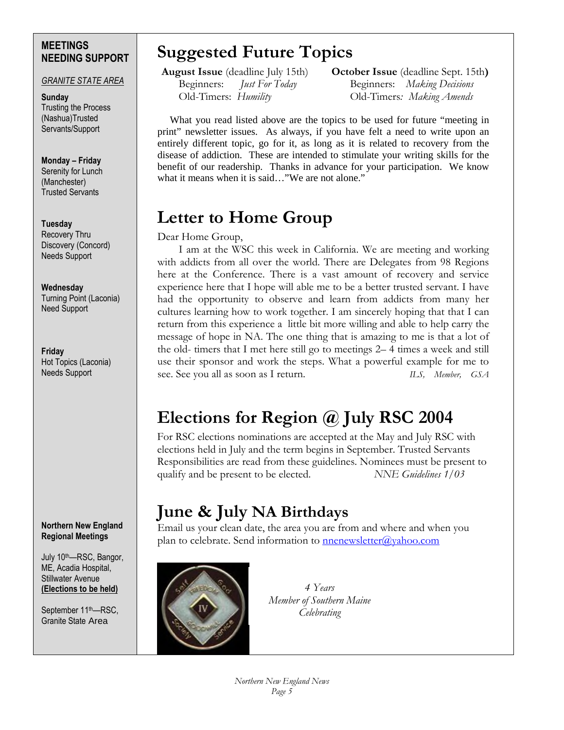### **MEETINGS NEEDING SUPPORT**

#### *GRANITE STATE AREA*

**Sunday**  Trusting the Process (Nashua)Trusted Servants/Support

#### **Monday – Friday** Serenity for Lunch (Manchester) Trusted Servants

### **Tuesday**

Recovery Thru Discovery (Concord) Needs Support

#### **Wednesday**

Turning Point (Laconia) Need Support

**Friday**  Hot Topics (Laconia) Needs Support

#### **Northern New England Regional Meetings**

July 10th—RSC, Bangor, ME, Acadia Hospital, Stillwater Avenue **(Elections to be held)** 

September 11<sup>th</sup>—RSC. Granite State Area

## **Suggested Future Topics**

 **August Issue** (deadline July 15th) **October Issue** (deadline Sept. 15th**)**  Beginners: *Just For Today* Beginners: *Making Decisions* Old-Timers: *Humility* Old-Timers*: Making Amends*

What you read listed above are the topics to be used for future "meeting in print" newsletter issues. As always, if you have felt a need to write upon an entirely different topic, go for it, as long as it is related to recovery from the disease of addiction. These are intended to stimulate your writing skills for the benefit of our readership. Thanks in advance for your participation. We know what it means when it is said…"We are not alone."

## **Letter to Home Group**

### Dear Home Group,

I am at the WSC this week in California. We are meeting and working with addicts from all over the world. There are Delegates from 98 Regions here at the Conference. There is a vast amount of recovery and service experience here that I hope will able me to be a better trusted servant. I have had the opportunity to observe and learn from addicts from many her cultures learning how to work together. I am sincerely hoping that that I can return from this experience a little bit more willing and able to help carry the message of hope in NA. The one thing that is amazing to me is that a lot of the old- timers that I met here still go to meetings 2– 4 times a week and still use their sponsor and work the steps. What a powerful example for me to see. See you all as soon as I return. *ILS, Member, GSA* 

## **Elections for Region @ July RSC 2004**

For RSC elections nominations are accepted at the May and July RSC with elections held in July and the term begins in September. Trusted Servants Responsibilities are read from these guidelines. Nominees must be present to qualify and be present to be elected. *NNE Guidelines 1/03* 

### **June & July NA Birthdays**

Email us your clean date, the area you are from and where and when you plan to celebrate. Send information to **nnenewsletter@yahoo.com** 



*4 Years Member of Southern Maine Celebrating*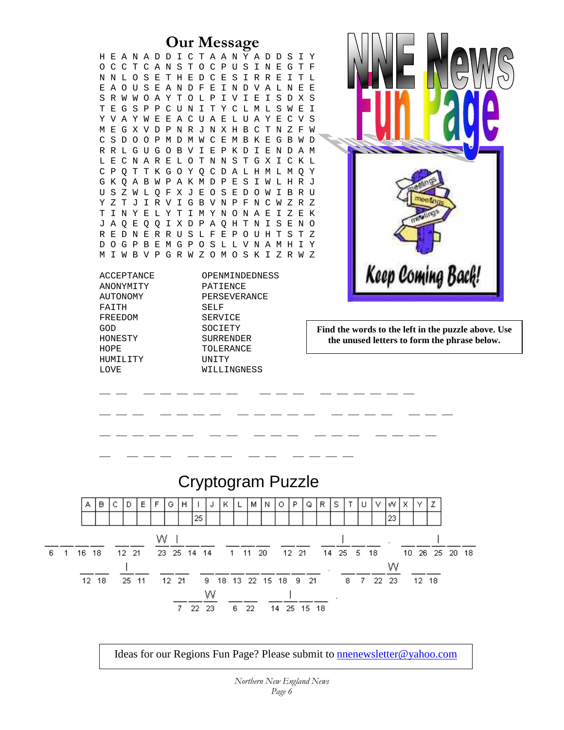#### **Our Message**<br>**DICTAANYADDSIY** H E A N A D D I C T A A N Y A D D S I Y<br>O C C T C A N S T O C P U S I N E G T F O C C T C A N S T N N L O S E T H E D C E S I R R E I T L E A O U S E A N D F E I N D V A L N E E S R W W O A Y T O L P I V I E I S D X S T E G S P P C U N I T Y C L M L S W E I Y V A Y W E E A C U A E L U A Y E C V S M E G X V D P N R J N X H B C T N Z F W C S D O O P M D M W C E M B K E G B W D R R L G U G O B V I E P K D I E N D A M L E C N A R E L O T N N S T G X I C K L C P Q T T K G O Y Q C D A L H M L M Q Y G K Q A B W P A K M D P E S I W L H R J U S Z W L Q F X J E O S E D O W I B R U Y Z T J I R V I G B V N P F N C W Z R Z T I N Y E L Y T I M Y N O N A E I Z E K J A Q E Q Q I X D P A Q H T N I S E N O R E D N E R R U S L F E P O U H T S T Z D O G P B E M G P O S L L V N A M H I Y M I W B V P G R W Z O M O S K I Z R W Z Keep Coming Back! ACCEPTANCE OPENMINDEDNESS ANONYMITY PATIENCE AUTONOMY PERSEVERANCE FAITH SELF FREEDOM SERVICE GOD SOCIETY **Find the words to the left in the puzzle above. Use**  HONESTY SURRENDER **the unused letters to form the phrase below.**  HOPE TOLERANCE HUMILITY UNITY LOVE WILLINGNESS \_\_ \_\_ \_\_ \_\_ \_\_ \_\_ \_\_ \_\_ \_\_ \_\_ \_\_ \_\_ \_\_ \_\_ \_\_ \_\_ \_\_  $\bot$  ,  $\bot$  ,  $\bot$  ,  $\bot$  ,  $\bot$  ,  $\bot$  ,  $\bot$  ,  $\bot$  ,  $\bot$  ,  $\bot$  ,  $\bot$  ,  $\bot$  ,  $\bot$  ,  $\bot$  ,  $\bot$  ,  $\bot$ \_\_ \_\_ \_\_ \_\_ \_\_ \_\_ \_\_ \_\_ \_\_ \_\_ \_\_ \_\_ \_\_ \_\_ \_\_ \_\_ \_\_ \_\_ \_ \_\_ \_\_ \_ \_\_ \_ \_ \_ \_ \_ \_ Cryptogram Puzzle C l D-E F G  $H$ К M N  $\circ$ P Q R s W. z А в  $\mathbf{I}$ J. L т п v x Υ 25 23 16 18  $12 - 21$ 25 5 14  $14$  $11$ 20  $12$ 21 14 25 18 10 26 25 20 18 w  $12 - 21$ 18 13 22 15 22 23 12 18 25 11 9. 18 9. 21 8  $12, 18$  $22 \overline{a}$ 6 22 14 25 15 18

Ideas for our Regions Fun Page? Please submit to nnenewsletter@yahoo.com

6  $1$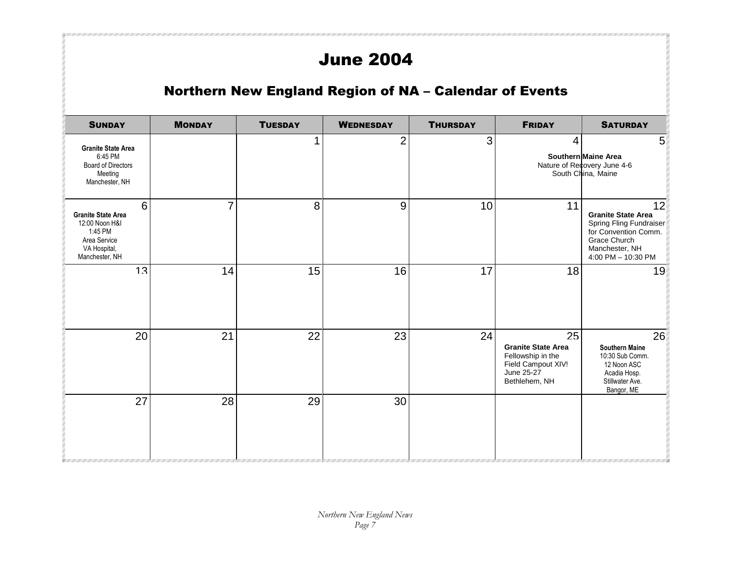## June 2004

407 / 1017 / 1017 / 1017 / 1017 / 1017 / 1017 / 1017 / 1017 / 1017 / 1017 / 1017 / 1017 / 1017 / 1017 / 1017 /

### Northern New England Region of NA – Calendar of Events

| <b>SUNDAY</b>                                                                                                 | <b>MONDAY</b> | <b>TUESDAY</b> | <b>WEDNESDAY</b> | <b>THURSDAY</b> | <b>FRIDAY</b>                                                                                             | <b>SATURDAY</b>                                                                                                                            |
|---------------------------------------------------------------------------------------------------------------|---------------|----------------|------------------|-----------------|-----------------------------------------------------------------------------------------------------------|--------------------------------------------------------------------------------------------------------------------------------------------|
| <b>Granite State Area</b><br>6:45 PM<br><b>Board of Directors</b><br>Meeting<br>Manchester, NH                |               | 1              | $\overline{2}$   | $\mathfrak{S}$  | 4                                                                                                         | 5<br>Southern Maine Area<br>Nature of Recovery June 4-6<br>South China, Maine                                                              |
| 6<br><b>Granite State Area</b><br>12:00 Noon H&I<br>1:45 PM<br>Area Service<br>VA Hospital,<br>Manchester, NH | 7             | 8              | $9\,$            | 10              | 11                                                                                                        | 12<br><b>Granite State Area</b><br>Spring Fling Fundraiser<br>for Convention Comm.<br>Grace Church<br>Manchester, NH<br>4:00 PM - 10:30 PM |
| 13                                                                                                            | 14            | 15             | 16               | 17              | 18                                                                                                        | 19                                                                                                                                         |
| 20                                                                                                            | 21            | 22             | 23               | 24              | 25<br><b>Granite State Area</b><br>Fellowship in the<br>Field Campout XIV!<br>June 25-27<br>Bethlehem, NH | 26<br><b>Southern Maine</b><br>10:30 Sub Comm.<br>12 Noon ASC<br>Acadia Hosp.<br>Stillwater Ave.<br>Bangor, ME                             |
| 27                                                                                                            | 28            | 29             | 30               |                 |                                                                                                           |                                                                                                                                            |